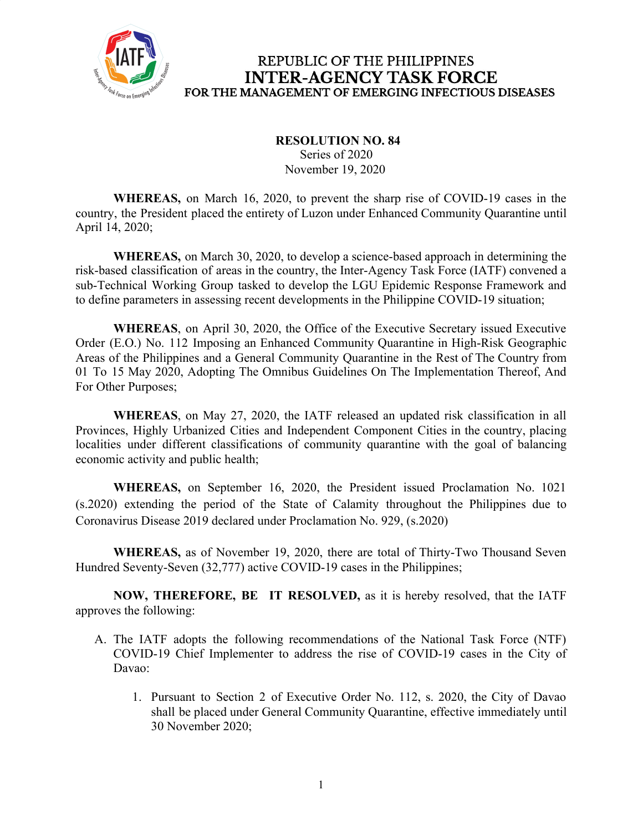

### **RESOLUTION NO. 84**

 Series of 2020 November 19, 2020

**WHEREAS,** on March 16, 2020, to prevent the sharp rise of COVID-19 cases in the country, the President placed the entirety of Luzon under Enhanced Community Quarantine until April 14, 2020;

**WHEREAS,** on March 30, 2020, to develop a science-based approach in determining the risk-based classification of areas in the country, the Inter-Agency Task Force (IATF) convened a sub-Technical Working Group tasked to develop the LGU Epidemic Response Framework and to define parameters in assessing recent developments in the Philippine COVID-19 situation;

**WHEREAS**, on April 30, 2020, the Office of the Executive Secretary issued Executive Order (E.O.) No. 112 Imposing an Enhanced Community Quarantine in High-Risk Geographic Areas of the Philippines and a General Community Quarantine in the Rest of The Country from 01 To 15 May 2020, Adopting The Omnibus Guidelines On The Implementation Thereof, And For Other Purposes;

**WHEREAS**, on May 27, 2020, the IATF released an updated risk classification in all Provinces, Highly Urbanized Cities and Independent Component Cities in the country, placing localities under different classifications of community quarantine with the goal of balancing economic activity and public health;

**WHEREAS,** on September 16, 2020, the President issued Proclamation No. 1021 (s.2020) extending the period of the State of Calamity throughout the Philippines due to Coronavirus Disease 2019 declared under Proclamation No. 929, (s.2020)

**WHEREAS,** as of November 19, 2020, there are total of Thirty-Two Thousand Seven Hundred Seventy-Seven (32,777) active COVID-19 cases in the Philippines;

**NOW, THEREFORE, BE IT RESOLVED,** as it is hereby resolved, that the IATF approves the following:

- A. The IATF adopts the following recommendations of the National Task Force (NTF) COVID-19 Chief Implementer to address the rise of COVID-19 cases in the City of Davao:
	- 1. Pursuant to Section 2 of Executive Order No. 112, s. 2020, the City of Davao shall be placed under General Community Quarantine, effective immediately until 30 November 2020;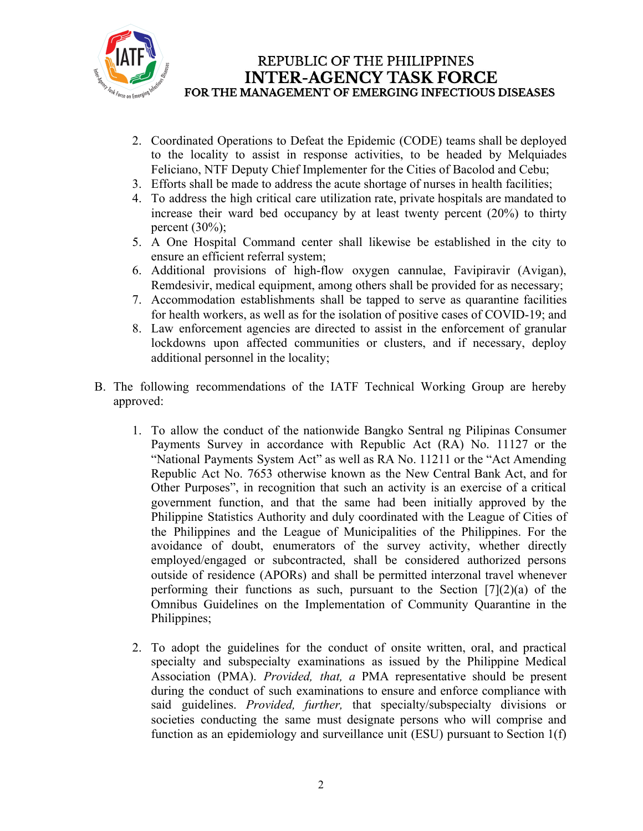

- 2. Coordinated Operations to Defeat the Epidemic (CODE) teams shall be deployed to the locality to assist in response activities, to be headed by Melquiades Feliciano, NTF Deputy Chief Implementer for the Cities of Bacolod and Cebu;
- 3. Efforts shall be made to address the acute shortage of nurses in health facilities;
- 4. To address the high critical care utilization rate, private hospitals are mandated to increase their ward bed occupancy by at least twenty percent (20%) to thirty percent  $(30\%)$ ;
- 5. A One Hospital Command center shall likewise be established in the city to ensure an efficient referral system;
- 6. Additional provisions of high-flow oxygen cannulae, Favipiravir (Avigan), Remdesivir, medical equipment, among others shall be provided for as necessary;
- 7. Accommodation establishments shall be tapped to serve as quarantine facilities for health workers, as well as for the isolation of positive cases of COVID-19; and
- 8. Law enforcement agencies are directed to assist in the enforcement of granular lockdowns upon affected communities or clusters, and if necessary, deploy additional personnel in the locality;
- B. The following recommendations of the IATF Technical Working Group are hereby approved:
	- 1. To allow the conduct of the nationwide Bangko Sentral ng Pilipinas Consumer Payments Survey in accordance with Republic Act (RA) No. 11127 or the "National Payments System Act" as well as RA No. 11211 or the "Act Amending Republic Act No. 7653 otherwise known as the New Central Bank Act, and for Other Purposes", in recognition that such an activity is an exercise of a critical government function, and that the same had been initially approved by the Philippine Statistics Authority and duly coordinated with the League of Cities of the Philippines and the League of Municipalities of the Philippines. For the avoidance of doubt, enumerators of the survey activity, whether directly employed/engaged or subcontracted, shall be considered authorized persons outside of residence (APORs) and shall be permitted interzonal travel whenever performing their functions as such, pursuant to the Section  $[7](2)(a)$  of the Omnibus Guidelines on the Implementation of Community Quarantine in the Philippines;
	- 2. To adopt the guidelines for the conduct of onsite written, oral, and practical specialty and subspecialty examinations as issued by the Philippine Medical Association (PMA). *Provided, that, a* PMA representative should be present during the conduct of such examinations to ensure and enforce compliance with said guidelines. *Provided, further,* that specialty/subspecialty divisions or societies conducting the same must designate persons who will comprise and function as an epidemiology and surveillance unit (ESU) pursuant to Section 1(f)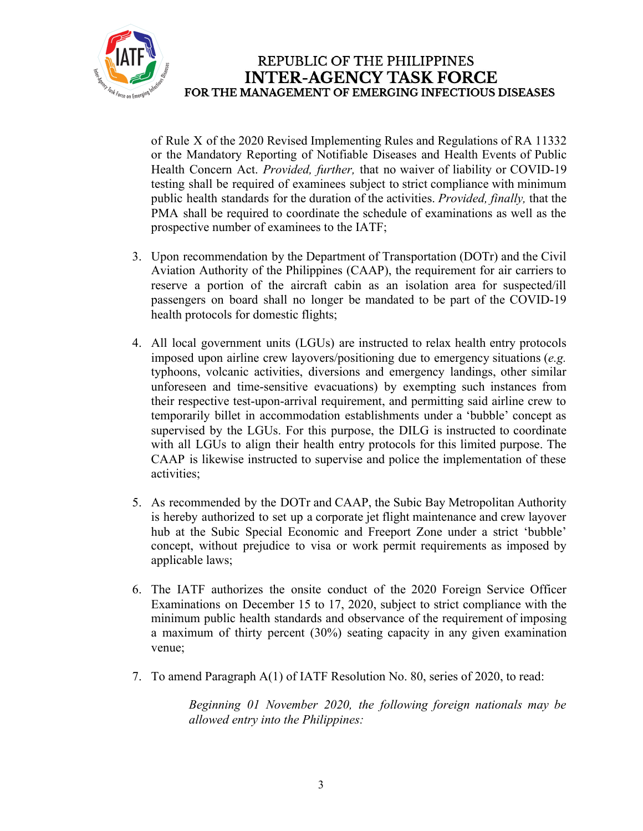

of Rule X of the 2020 Revised Implementing Rules and Regulations of RA 11332 or the Mandatory Reporting of Notifiable Diseases and Health Events of Public Health Concern Act. *Provided, further,* that no waiver of liability or COVID-19 testing shall be required of examinees subject to strict compliance with minimum public health standards for the duration of the activities. *Provided, finally,* that the PMA shall be required to coordinate the schedule of examinations as well as the prospective number of examinees to the IATF;

- 3. Upon recommendation by the Department of Transportation (DOTr) and the Civil Aviation Authority of the Philippines (CAAP), the requirement for air carriers to reserve a portion of the aircraft cabin as an isolation area for suspected/ill passengers on board shall no longer be mandated to be part of the COVID-19 health protocols for domestic flights;
- 4. All local government units (LGUs) are instructed to relax health entry protocols imposed upon airline crew layovers/positioning due to emergency situations (*e.g.* typhoons, volcanic activities, diversions and emergency landings, other similar unforeseen and time-sensitive evacuations) by exempting such instances from their respective test-upon-arrival requirement, and permitting said airline crew to temporarily billet in accommodation establishments under a 'bubble' concept as supervised by the LGUs. For this purpose, the DILG is instructed to coordinate with all LGUs to align their health entry protocols for this limited purpose. The CAAP is likewise instructed to supervise and police the implementation of these activities;
- 5. As recommended by the DOTr and CAAP, the Subic Bay Metropolitan Authority is hereby authorized to set up a corporate jet flight maintenance and crew layover hub at the Subic Special Economic and Freeport Zone under a strict 'bubble' concept, without prejudice to visa or work permit requirements as imposed by applicable laws;
- 6. The IATF authorizes the onsite conduct of the 2020 Foreign Service Officer Examinations on December 15 to 17, 2020, subject to strict compliance with the minimum public health standards and observance of the requirement of imposing a maximum of thirty percent (30%) seating capacity in any given examination venue;
- 7. To amend Paragraph A(1) of IATF Resolution No. 80, series of 2020, to read:

*Beginning 01 November 2020, the following foreign nationals may be allowed entry into the Philippines:*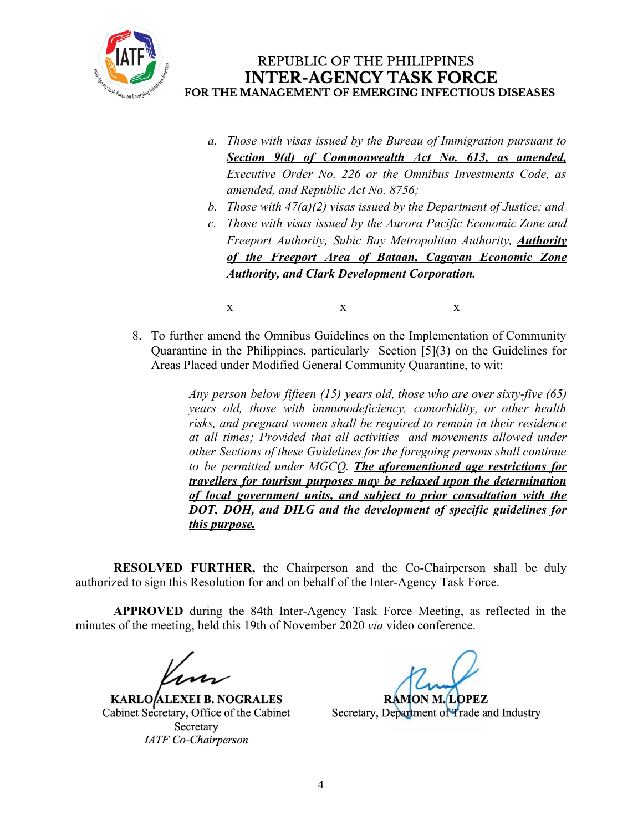

- *a. Those with visas issued by the Bureau of Immigration pursuant to Section 9(d) of Commonwealth Act No. 613, as amended, Executive Order No. 226 or the Omnibus Investments Code, as amended, and Republic Act No. 8756;*
- *b. Those with 47(a)(2) visas issued by the Department of Justice; and*
- *c. Those with visas issued by the Aurora Pacific Economic Zone and Freeport Authority, Subic Bay Metropolitan Authority, Authority of the Freeport Area of Bataan, Cagayan Economic Zone Authority, and Clark Development Corporation.*
	- $X$  x  $X$
- 8. To further amend the Omnibus Guidelines on the Implementation of Community Quarantine in the Philippines, particularly Section [5](3) on the Guidelines for Areas Placed under Modified General Community Quarantine, to wit:

*Any person below fifteen (15) years old, those who are over sixty-five (65) years old, those with immunodeficiency, comorbidity, or other health risks, and pregnant women shall be required to remain in their residence at all times; Provided that all activities and movements allowed under other Sections of these Guidelines for the foregoing persons shall continue to be permitted under MGCQ. The aforementioned age restrictions for travellers for tourism purposes may be relaxed upon the determination of local government units, and subject to prior consultation with the DOT, DOH, and DILG and the development of specific guidelines for this purpose.*

**RESOLVED FURTHER,** the Chairperson and the Co-Chairperson shall be duly authorized to sign this Resolution for and on behalf of the Inter-Agency Task Force.

**APPROVED** during the 84th Inter-Agency Task Force Meeting, as reflected in the minutes of the meeting, held this 19th of November 2020 *via* video conference.

**KARLO/ALEXEI B. NOGRALES** Cabinet Secretary, Office of the Cabinet Secretary **IATF** Co-Chairperson

**RAMON M. LOPEZ** 

Secretary, Department of Trade and Industry